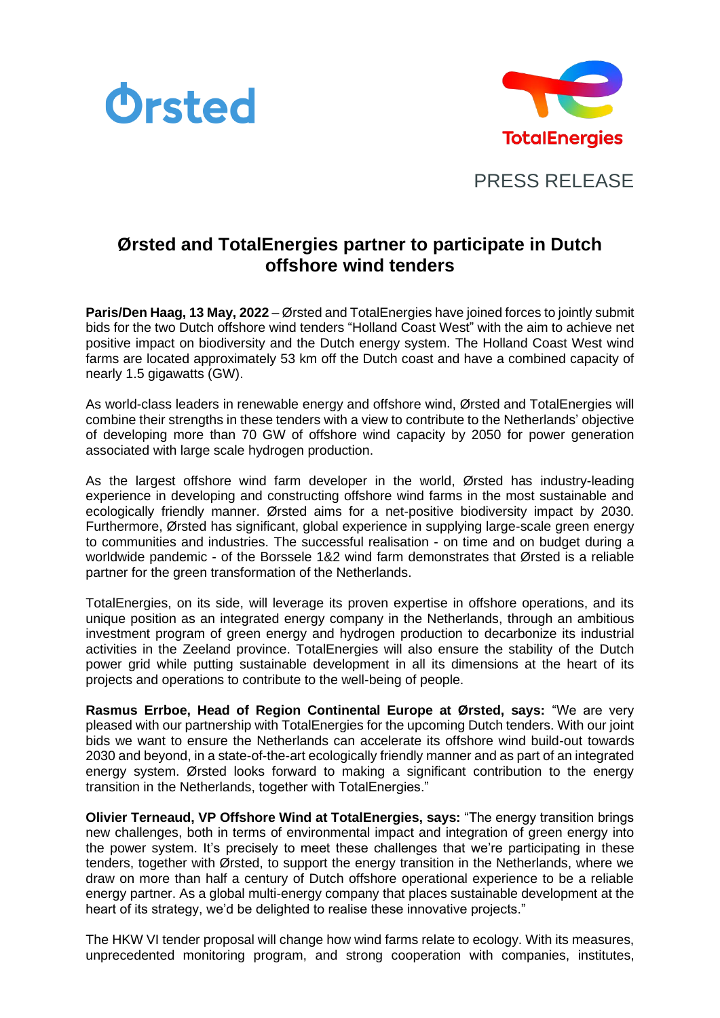



PRESS RELEASE

## **Ørsted and TotalEnergies partner to participate in Dutch offshore wind tenders**

**Paris/Den Haag, 13 May, 2022** – Ørsted and TotalEnergies have joined forces to jointly submit bids for the two Dutch offshore wind tenders "Holland Coast West" with the aim to achieve net positive impact on biodiversity and the Dutch energy system. The Holland Coast West wind farms are located approximately 53 km off the Dutch coast and have a combined capacity of nearly 1.5 gigawatts (GW).

As world-class leaders in renewable energy and offshore wind, Ørsted and TotalEnergies will combine their strengths in these tenders with a view to contribute to the Netherlands' objective of developing more than 70 GW of offshore wind capacity by 2050 for power generation associated with large scale hydrogen production.

As the largest offshore wind farm developer in the world, Ørsted has industry-leading experience in developing and constructing offshore wind farms in the most sustainable and ecologically friendly manner. Ørsted aims for a net-positive biodiversity impact by 2030. Furthermore, Ørsted has significant, global experience in supplying large-scale green energy to communities and industries. The successful realisation - on time and on budget during a worldwide pandemic - of the Borssele 1&2 wind farm demonstrates that Ørsted is a reliable partner for the green transformation of the Netherlands.

TotalEnergies, on its side, will leverage its proven expertise in offshore operations, and its unique position as an integrated energy company in the Netherlands, through an ambitious investment program of green energy and hydrogen production to decarbonize its industrial activities in the Zeeland province. TotalEnergies will also ensure the stability of the Dutch power grid while putting sustainable development in all its dimensions at the heart of its projects and operations to contribute to the well-being of people.

**Rasmus Errboe, Head of Region Continental Europe at Ørsted, says:** "We are very pleased with our partnership with TotalEnergies for the upcoming Dutch tenders. With our joint bids we want to ensure the Netherlands can accelerate its offshore wind build-out towards 2030 and beyond, in a state-of-the-art ecologically friendly manner and as part of an integrated energy system. Ørsted looks forward to making a significant contribution to the energy transition in the Netherlands, together with TotalEnergies."

**Olivier Terneaud, VP Offshore Wind at TotalEnergies, says:** "The energy transition brings new challenges, both in terms of environmental impact and integration of green energy into the power system. It's precisely to meet these challenges that we're participating in these tenders, together with Ørsted, to support the energy transition in the Netherlands, where we draw on more than half a century of Dutch offshore operational experience to be a reliable energy partner. As a global multi-energy company that places sustainable development at the heart of its strategy, we'd be delighted to realise these innovative projects."

The HKW VI tender proposal will change how wind farms relate to ecology. With its measures, unprecedented monitoring program, and strong cooperation with companies, institutes,